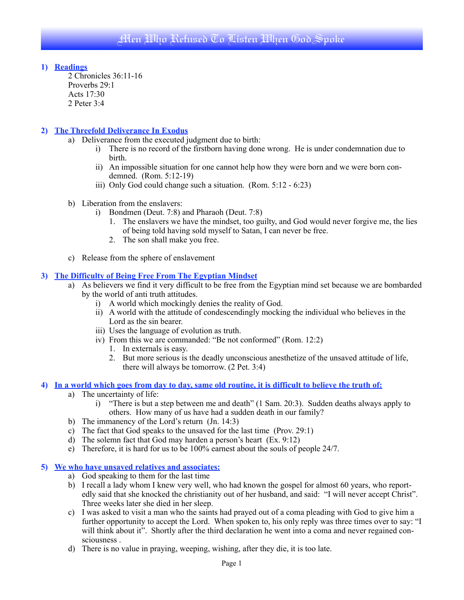# **1) Readings**

2 Chronicles 36:11-16 Proverbs 29:1 Acts 17:30 2 Peter 3:4

# **2) The Threefold Deliverance In Exodus**

- a) Deliverance from the executed judgment due to birth:
	- i) There is no record of the firstborn having done wrong. He is under condemnation due to birth.
	- ii) An impossible situation for one cannot help how they were born and we were born condemned. (Rom. 5:12-19)
	- iii) Only God could change such a situation. (Rom. 5:12 6:23)
- b) Liberation from the enslavers:
	- i) Bondmen (Deut. 7:8) and Pharaoh (Deut. 7:8)
		- 1. The enslavers we have the mindset, too guilty, and God would never forgive me, the lies of being told having sold myself to Satan, I can never be free.
		- 2. The son shall make you free.
- c) Release from the sphere of enslavement

# **3) The Difficulty of Being Free From The Egyptian Mindset**

- a) As believers we find it very difficult to be free from the Egyptian mind set because we are bombarded by the world of anti truth attitudes.
	- i) A world which mockingly denies the reality of God.
	- ii) A world with the attitude of condescendingly mocking the individual who believes in the Lord as the sin bearer.
	- iii) Uses the language of evolution as truth.
	- iv) From this we are commanded: "Be not conformed" (Rom. 12:2)
		- 1. In externals is easy.
		- 2. But more serious is the deadly unconscious anesthetize of the unsaved attitude of life, there will always be tomorrow. (2 Pet. 3:4)

#### **4) In a world which goes from day to day, same old routine, it is difficult to believe the truth of:**

- a) The uncertainty of life:
	- i) "There is but a step between me and death" (1 Sam. 20:3). Sudden deaths always apply to others. How many of us have had a sudden death in our family?
- b) The immanency of the Lord's return (Jn. 14:3)
- c) The fact that God speaks to the unsaved for the last time (Prov. 29:1)
- d) The solemn fact that God may harden a person's heart (Ex. 9:12)
- e) Therefore, it is hard for us to be 100% earnest about the souls of people 24/7.

#### **5) We who have unsaved relatives and associates:**

- a) God speaking to them for the last time
- b) I recall a lady whom I knew very well, who had known the gospel for almost 60 years, who reportedly said that she knocked the christianity out of her husband, and said: "I will never accept Christ". Three weeks later she died in her sleep.
- c) I was asked to visit a man who the saints had prayed out of a coma pleading with God to give him a further opportunity to accept the Lord. When spoken to, his only reply was three times over to say: "I will think about it". Shortly after the third declaration he went into a coma and never regained consciousness .
- d) There is no value in praying, weeping, wishing, after they die, it is too late.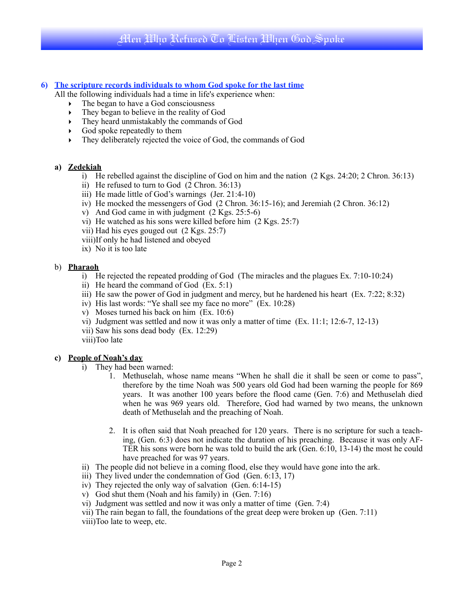# **6) The scripture records individuals to whom God spoke for the last time**

All the following individuals had a time in life's experience when:

- The began to have a God consciousness
- ‣ They began to believe in the reality of God
- ‣ They heard unmistakably the commands of God
- $\rightarrow$  God spoke repeatedly to them
- ‣ They deliberately rejected the voice of God, the commands of God

#### **a) Zedekiah**

- i) He rebelled against the discipline of God on him and the nation (2 Kgs. 24:20; 2 Chron. 36:13)
- ii) He refused to turn to God (2 Chron. 36:13)
- iii) He made little of God's warnings (Jer. 21:4-10)
- iv) He mocked the messengers of God (2 Chron. 36:15-16); and Jeremiah (2 Chron. 36:12)
- v) And God came in with judgment (2 Kgs. 25:5-6)
- vi) He watched as his sons were killed before him (2 Kgs. 25:7)
- vii) Had his eyes gouged out (2 Kgs. 25:7)
- viii)If only he had listened and obeyed
- ix) No it is too late

#### b) **Pharaoh**

- i) He rejected the repeated prodding of God (The miracles and the plagues Ex. 7:10-10:24)
- ii) He heard the command of God (Ex. 5:1)
- iii) He saw the power of God in judgment and mercy, but he hardened his heart (Ex. 7:22; 8:32)
- iv) His last words: "Ye shall see my face no more" (Ex. 10:28)
- v) Moses turned his back on him (Ex. 10:6)
- vi) Judgment was settled and now it was only a matter of time (Ex. 11:1; 12:6-7, 12-13)
- vii) Saw his sons dead body (Ex. 12:29)
- viii)Too late

#### **c) People of Noah's day**

- i) They had been warned:
	- 1. Methuselah, whose name means "When he shall die it shall be seen or come to pass", therefore by the time Noah was 500 years old God had been warning the people for 869 years. It was another 100 years before the flood came (Gen. 7:6) and Methuselah died when he was 969 years old. Therefore, God had warned by two means, the unknown death of Methuselah and the preaching of Noah.
	- 2. It is often said that Noah preached for 120 years. There is no scripture for such a teaching, (Gen. 6:3) does not indicate the duration of his preaching. Because it was only AF-TER his sons were born he was told to build the ark (Gen. 6:10, 13-14) the most he could have preached for was 97 years.
- ii) The people did not believe in a coming flood, else they would have gone into the ark.
- iii) They lived under the condemnation of God (Gen. 6:13, 17)
- iv) They rejected the only way of salvation (Gen. 6:14-15)
- v) God shut them (Noah and his family) in (Gen. 7:16)
- vi) Judgment was settled and now it was only a matter of time (Gen. 7:4)
- vii) The rain began to fall, the foundations of the great deep were broken up (Gen. 7:11)
- viii)Too late to weep, etc.